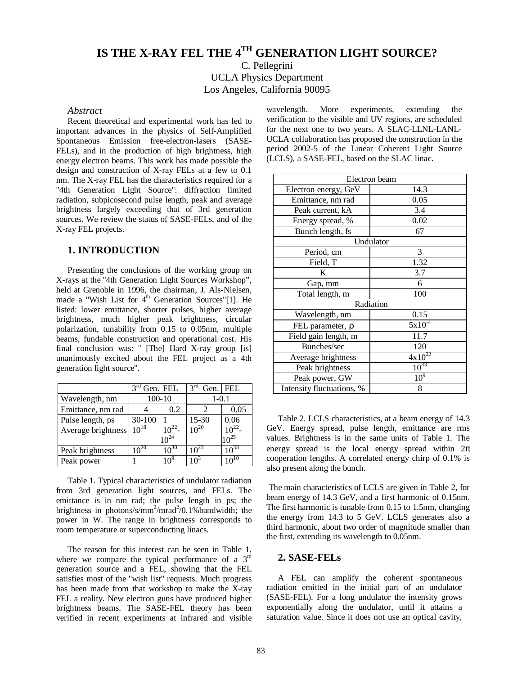# **IS THE X-RAY FEL THE 4TH GENERATION LIGHT SOURCE?**

C. Pellegrini UCLA Physics Department Los Angeles, California 90095

### *Abstract*

Recent theoretical and experimental work has led to important advances in the physics of Self-Amplified Spontaneous Emission free-electron-lasers (SASE-FELs), and in the production of high brightness, high energy electron beams. This work has made possible the design and construction of X-ray FELs at a few to 0.1 nm. The X-ray FEL has the characteristics required for a "4th Generation Light Source": diffraction limited radiation, subpicosecond pulse length, peak and average brightness largely exceeding that of 3rd generation sources. We review the status of SASE-FELs, and of the X-ray FEL projects.

# **1. INTRODUCTION**

Presenting the conclusions of the working group on X-rays at the ''4th Generation Light Sources Workshop", held at Grenoble in 1996, the chairman, J. Als-Nielsen, made a "Wish List for  $4<sup>th</sup>$  Generation Sources"[1]. He listed: lower emittance, shorter pulses, higher average brightness, much higher peak brightness, circular polarization, tunability from 0.15 to 0.05nm, multiple beams, fundable construction and operational cost. His final conclusion was: '' [The] Hard X-ray group [is] unanimously excited about the FEL project as a 4th generation light source''.

|                    | 3 <sup>rd</sup> | Gen. FEL  | 3 <sup>rd</sup><br>Gen. | I FEL         |
|--------------------|-----------------|-----------|-------------------------|---------------|
| Wavelength, nm     | $100 - 10$      |           | $1 - 0.1$               |               |
| Emittance, nm rad  |                 | 0.2       |                         | 0.05          |
| Pulse length, ps   | $30-100$        |           | 15-30                   | 0.06          |
| Average brightness | $10^{18}$       | $10^{22}$ | $10^{20}$               |               |
|                    |                 | $0^{24}$  |                         | $\Omega^{25}$ |
| Peak brightness    | $10^{20}$       | $10^{30}$ | $10^{23}$               | $10^{33}$     |
| Peak power         |                 | $10^9$    | າ∩∘                     |               |

Table 1. Typical characteristics of undulator radiation from 3rd generation light sources, and FELs. The emittance is in nm rad; the pulse length in ps; the brightness in photons/s/mm<sup>2</sup>/mrad<sup>2</sup>/0.1%bandwidth; the power in W. The range in brightness corresponds to room temperature or superconducting linacs.

The reason for this interest can be seen in Table 1, where we compare the typical performance of a  $3<sup>rd</sup>$ generation source and a FEL, showing that the FEL satisfies most of the ''wish list'' requests. Much progress has been made from that workshop to make the X-ray FEL a reality. New electron guns have produced higher brightness beams. The SASE-FEL theory has been verified in recent experiments at infrared and visible wavelength. More experiments, extending the verification to the visible and UV regions, are scheduled for the next one to two years. A SLAC-LLNL-LANL-UCLA collaboration has proposed the construction in the period 2002-5 of the Linear Coherent Light Source (LCLS), a SASE-FEL, based on the SLAC linac.

| Electron beam             |                 |  |  |  |
|---------------------------|-----------------|--|--|--|
| Electron energy, GeV      | 14.3            |  |  |  |
| Emittance, nm rad         | 0.05            |  |  |  |
| Peak current, kA          | 3.4             |  |  |  |
| Energy spread, %          | 0.02            |  |  |  |
| Bunch length, fs          | 67              |  |  |  |
| Undulator                 |                 |  |  |  |
| Period, cm                | 3               |  |  |  |
| Field, T                  | 1.32            |  |  |  |
| K                         | 3.7             |  |  |  |
| Gap, mm                   | 6               |  |  |  |
| Total length, m           | 100             |  |  |  |
| Radiation                 |                 |  |  |  |
| Wavelength, nm            | 0.15            |  |  |  |
| FEL parameter, $\rho$     | $5x10^{-4}$     |  |  |  |
| Field gain length, m      | 11.7            |  |  |  |
| Bunches/sec               | 120             |  |  |  |
| Average brightness        | $4x10^{22}$     |  |  |  |
| Peak brightness           | $10^{33}$       |  |  |  |
| Peak power, GW            | 10 <sup>9</sup> |  |  |  |
| Intensity fluctuations, % | 8               |  |  |  |

Table 2. LCLS characteristics, at a beam energy of 14.3 GeV. Energy spread, pulse length, emittance are rms values. Brightness is in the same units of Table 1. The energy spread is the local energy spread within  $2\pi$ cooperation lengths. A correlated energy chirp of 0.1% is also present along the bunch.

 The main characteristics of LCLS are given in Table 2, for beam energy of 14.3 GeV, and a first harmonic of 0.15nm. The first harmonic is tunable from 0.15 to 1.5nm, changing the energy from 14.3 to 5 GeV. LCLS generates also a third harmonic, about two order of magnitude smaller than the first, extending its wavelength to 0.05nm.

# **2. SASE-FELs**

A FEL can amplify the coherent spontaneous radiation emitted in the initial part of an undulator (SASE-FEL). For a long undulator the intensity grows exponentially along the undulator, until it attains a saturation value. Since it does not use an optical cavity,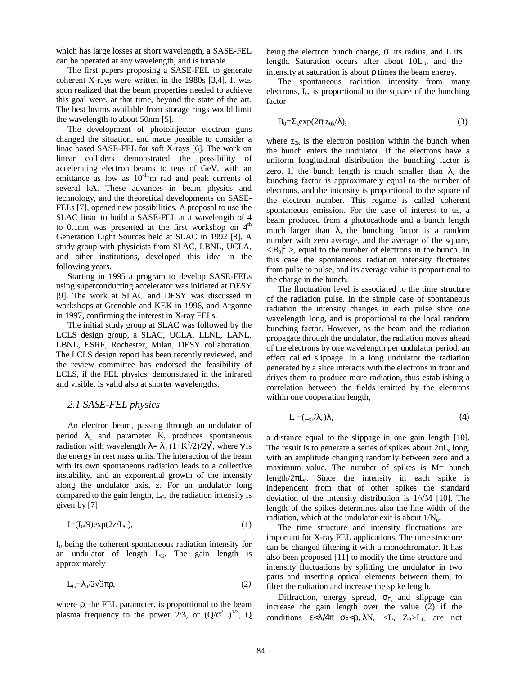which has large losses at short wavelength, a SASE-FEL can be operated at any wavelength, and is tunable.

The first papers proposing a SASE-FEL to generate coherent X-rays were written in the 1980s [3,4]. It was soon realized that the beam properties needed to achieve this goal were, at that time, beyond the state of the art. The best beams available from storage rings would limit the wavelength to about 50nm [5].

The development of photoinjector electron guns changed the situation, and made possible to consider a linac based SASE-FEL for soft X-rays [6]. The work on linear colliders demonstrated the possibility of accelerating electron beams to tens of GeV, with an emittance as low as  $10^{-11}$ m rad and peak currents of several kA. These advances in beam physics and technology, and the theoretical developments on SASE-FELs [7], opened new possibilities. A proposal to use the SLAC linac to build a SASE-FEL at a wavelength of 4 to 0.1nm was presented at the first workshop on  $4<sup>th</sup>$ Generation Light Sources held at SLAC in 1992 [8]. A study group with physicists from SLAC, LBNL, UCLA, and other institutions, developed this idea in the following years.

Starting in 1995 a program to develop SASE-FELs using superconducting accelerator was initiated at DESY [9]. The work at SLAC and DESY was discussed in workshops at Grenoble and KEK in 1996, and Argonne in 1997, confirming the interest in X-ray FELs.

The initial study group at SLAC was followed by the LCLS design group, a SLAC, UCLA, LLNL, LANL, LBNL, ESRF, Rochester, Milan, DESY collaboration. The LCLS design report has been recently reviewed, and the review committee has endorsed the feasibility of LCLS, if the FEL physics, demonstrated in the infrared and visible, is valid also at shorter wavelengths.

# *2.1 SASE-FEL physics*

An electron beam, passing through an undulator of period  $\lambda$ <sub>u</sub> and parameter K, produces spontaneous radiation with wavelength  $\lambda = \lambda_u (1 + K^2/2)/2\gamma^2$ , where γ is the energy in rest mass units. The interaction of the beam with its own spontaneous radiation leads to a collective instability, and an exponential growth of the intensity along the undulator axis, z. For an undulator long compared to the gain length,  $L_G$ , the radiation intensity is given by [7]

$$
I = (I_0/9) \exp(2z/L_G), \tag{1}
$$

 $I_0$  being the coherent spontaneous radiation intensity for an undulator of length LG. The gain length is approximately

 $L<sub>G</sub>=λ<sub>u</sub>/2√3πρ$ , (2*)* 

where ρ, the FEL parameter, is proportional to the beam plasma frequency to the power 2/3, or  $(Q/\sigma^2 L)^{1/3}$ , Q

being the electron bunch charge,  $\sigma$  its radius, and L its length. Saturation occurs after about  $10L<sub>G</sub>$ , and the intensity at saturation is about  $\rho$  times the beam energy.

The spontaneous radiation intensity from many electrons,  $I_0$ , is proportional to the square of the bunching factor

$$
B_0 = \sum_k \exp(2\pi i z_{0k}/\lambda),\tag{3}
$$

where  $z_{0k}$  is the electron position within the bunch when the bunch enters the undulator. If the electrons have a uniform longitudinal distribution the bunching factor is zero. If the bunch length is much smaller than  $\lambda$ , the bunching factor is approximately equal to the number of electrons, and the intensity is proportional to the square of the electron number. This regime is called coherent spontaneous emission. For the case of interest to us, a beam produced from a photocathode and a bunch length much larger than  $\lambda$ , the bunching factor is a random number with zero average, and the average of the square,  $\langle |B_0|^2 \rangle$ , equal to the number of electrons in the bunch. In this case the spontaneous radiation intensity fluctuates from pulse to pulse, and its average value is proportional to the charge in the bunch.

The fluctuation level is associated to the time structure of the radiation pulse. In the simple case of spontaneous radiation the intensity changes in each pulse slice one wavelength long, and is proportional to the local random bunching factor. However, as the beam and the radiation propagate through the undulator, the radiation moves ahead of the electrons by one wavelength per undulator period, an effect called slippage. In a long undulator the radiation generated by a slice interacts with the electrons in front and drives them to produce more radiation, thus establishing a correlation between the fields emitted by the electrons within one cooperation length,

$$
L_c = (L_G/\lambda_u)\lambda,\tag{4}
$$

a distance equal to the slippage in one gain length [10]. The result is to generate a series of spikes about  $2\pi L_c$  long, with an amplitude changing randomly between zero and a maximum value. The number of spikes is M= bunch length/ $2\pi L_c$ . Since the intensity in each spike is independent from that of other spikes the standard deviation of the intensity distribution is  $1/\sqrt{M}$  [10]. The length of the spikes determines also the line width of the radiation, which at the undulator exit is about  $1/N_{\text{u}}$ .

The time structure and intensity fluctuations are important for X-ray FEL applications. The time structure can be changed filtering it with a monochromator. It has also been proposed [11] to modify the time structure and intensity fluctuations by splitting the undulator in two parts and inserting optical elements between them, to filter the radiation and increase the spike length.

Diffraction, energy spread,  $\sigma_{E}$  and slippage can increase the gain length over the value (2) if the conditions  $\varepsilon < \lambda/4\pi$ ,  $\sigma_E < \rho$ ,  $\lambda N_u < L$ ,  $Z_R > L_G$  are not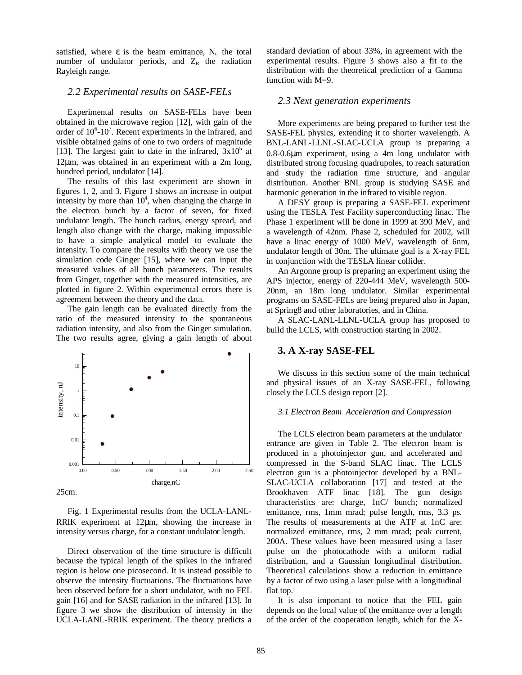satisfied, where  $\varepsilon$  is the beam emittance,  $N_u$  the total number of undulator periods, and  $Z_R$  the radiation Rayleigh range.

### *2.2 Experimental results on SASE-FELs*

Experimental results on SASE-FELs have been obtained in the microwave region [12], with gain of the order of  $10^6$ - $10^7$ . Recent experiments in the infrared, and visible obtained gains of one to two orders of magnitude [13]. The largest gain to date in the infrared,  $3x10^5$  at 12µm, was obtained in an experiment with a 2m long, hundred period, undulator [14].

The results of this last experiment are shown in figures 1, 2, and 3. Figure 1 shows an increase in output intensity by more than  $10<sup>4</sup>$ , when changing the charge in the electron bunch by a factor of seven, for fixed undulator length. The bunch radius, energy spread, and length also change with the charge, making impossible to have a simple analytical model to evaluate the intensity. To compare the results with theory we use the simulation code Ginger [15], where we can input the measured values of all bunch parameters. The results from Ginger, together with the measured intensities, are plotted in figure 2. Within experimental errors there is agreement between the theory and the data.

The gain length can be evaluated directly from the ratio of the measured intensity to the spontaneous radiation intensity, and also from the Ginger simulation. The two results agree, giving a gain length of about



Fig. 1 Experimental results from the UCLA-LANL-RRIK experiment at 12µm, showing the increase in intensity versus charge, for a constant undulator length.

Direct observation of the time structure is difficult because the typical length of the spikes in the infrared region is below one picosecond. It is instead possible to observe the intensity fluctuations. The fluctuations have been observed before for a short undulator, with no FEL gain [16] and for SASE radiation in the infrared [13]. In figure 3 we show the distribution of intensity in the UCLA-LANL-RRIK experiment. The theory predicts a

standard deviation of about 33%, in agreement with the experimental results. Figure 3 shows also a fit to the distribution with the theoretical prediction of a Gamma function with M=9.

### *2.3 Next generation experiments*

More experiments are being prepared to further test the SASE-FEL physics, extending it to shorter wavelength. A BNL-LANL-LLNL-SLAC-UCLA group is preparing a 0.8-0.6µm experiment, using a 4m long undulator with distributed strong focusing quadrupoles, to reach saturation and study the radiation time structure, and angular distribution. Another BNL group is studying SASE and harmonic generation in the infrared to visible region.

A DESY group is preparing a SASE-FEL experiment using the TESLA Test Facility superconducting linac. The Phase 1 experiment will be done in 1999 at 390 MeV, and a wavelength of 42nm. Phase 2, scheduled for 2002, will have a linac energy of 1000 MeV, wavelength of 6nm, undulator length of 30m. The ultimate goal is a X-ray FEL in conjunction with the TESLA linear collider.

An Argonne group is preparing an experiment using the APS injector, energy of 220-444 MeV, wavelength 500- 20nm, an 18m long undulator. Similar experimental programs on SASE-FELs are being prepared also in Japan, at Spring8 and other laboratories, and in China.

A SLAC-LANL-LLNL-UCLA group has proposed to build the LCLS, with construction starting in 2002.

# **3. A X-ray SASE-FEL**

We discuss in this section some of the main technical and physical issues of an X-ray SASE-FEL, following closely the LCLS design report [2].

#### *3.1 Electron Beam Acceleration and Compression*

The LCLS electron beam parameters at the undulator entrance are given in Table 2. The electron beam is produced in a photoinjector gun, and accelerated and compressed in the S-band SLAC linac. The LCLS electron gun is a photoinjector developed by a BNL-SLAC-UCLA collaboration [17] and tested at the Brookhaven ATF linac [18]. The gun design characteristics are: charge, 1nC/ bunch; normalized emittance, rms, 1mm mrad; pulse length, rms, 3.3 ps. The results of measurements at the ATF at 1nC are: normalized emittance, rms, 2 mm mrad; peak current, 200A. These values have been measured using a laser pulse on the photocathode with a uniform radial distribution, and a Gaussian longitudinal distribution. Theoretical calculations show a reduction in emittance by a factor of two using a laser pulse with a longitudinal flat top.

It is also important to notice that the FEL gain depends on the local value of the emittance over a length of the order of the cooperation length, which for the X-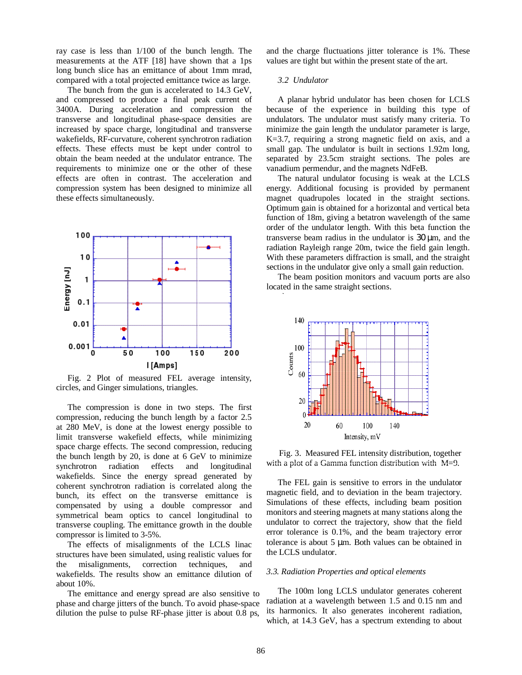ray case is less than 1/100 of the bunch length. The measurements at the ATF [18] have shown that a 1ps long bunch slice has an emittance of about 1mm mrad, compared with a total projected emittance twice as large.

The bunch from the gun is accelerated to 14.3 GeV, and compressed to produce a final peak current of 3400A. During acceleration and compression the transverse and longitudinal phase-space densities are increased by space charge, longitudinal and transverse wakefields, RF-curvature, coherent synchrotron radiation effects. These effects must be kept under control to obtain the beam needed at the undulator entrance. The requirements to minimize one or the other of these effects are often in contrast. The acceleration and compression system has been designed to minimize all these effects simultaneously.



Fig. 2 Plot of measured FEL average intensity, circles, and Ginger simulations, triangles.

The compression is done in two steps. The first compression, reducing the bunch length by a factor 2.5 at 280 MeV, is done at the lowest energy possible to limit transverse wakefield effects, while minimizing space charge effects. The second compression, reducing the bunch length by 20, is done at 6 GeV to minimize synchrotron radiation effects and longitudinal wakefields. Since the energy spread generated by coherent synchrotron radiation is correlated along the bunch, its effect on the transverse emittance is compensated by using a double compressor and symmetrical beam optics to cancel longitudinal to transverse coupling. The emittance growth in the double compressor is limited to 3-5%.

The effects of misalignments of the LCLS linac structures have been simulated, using realistic values for the misalignments, correction techniques, and wakefields. The results show an emittance dilution of about 10%.

The emittance and energy spread are also sensitive to phase and charge jitters of the bunch. To avoid phase-space dilution the pulse to pulse RF-phase jitter is about 0.8 ps,

and the charge fluctuations jitter tolerance is 1%. These values are tight but within the present state of the art.

#### *3.2 Undulator*

ulator.

A planar hybrid undulator has been chosen for LCLS because of the experience in building this type of undulators. The undulator must satisfy many criteria. To minimize the gain length the undulator parameter is large, K=3.7, requiring a strong magnetic field on axis, and a small gap. The undulator is built in sections 1.92m long, separated by 23.5cm straight sections. The poles are vanadium permendur, and the magnets NdFeB.

The natural undulator focusing is weak at the LCLS energy. Additional focusing is provided by permanent magnet quadrupoles located in the straight sections. Optimum gain is obtained for a horizontal and vertical beta function of 18m, giving a betatron wavelength of the same order of the undulator length. With this beta function the transverse beam radius in the undulator is 30 µm, and the radiation Rayleigh range 20m, twice the field gain length. With these parameters diffraction is small, and the straight sections in the undulator give only a small gain reduction.

The beam position monitors and vacuum ports are also located in the same straight sections.



Fig. 3. Measured FEL intensity distribution, together with a plot of a Gamma function distribution with M=9.

The FEL gain is sensitive to errors in the undulator magnetic field, and to deviation in the beam trajectory. Simulations of these effects, including beam position monitors and steering magnets at many stations along the undulator to correct the trajectory, show that the field error tolerance is 0.1%, and the beam trajectory error tolerance is about 5 µm. Both values can be obtained in the LCLS undulator.

#### *3.3. Radiation Properties and optical elements*

The 100m long LCLS undulator generates coherent radiation at a wavelength between 1.5 and 0.15 nm and its harmonics. It also generates incoherent radiation, which, at 14.3 GeV, has a spectrum extending to about